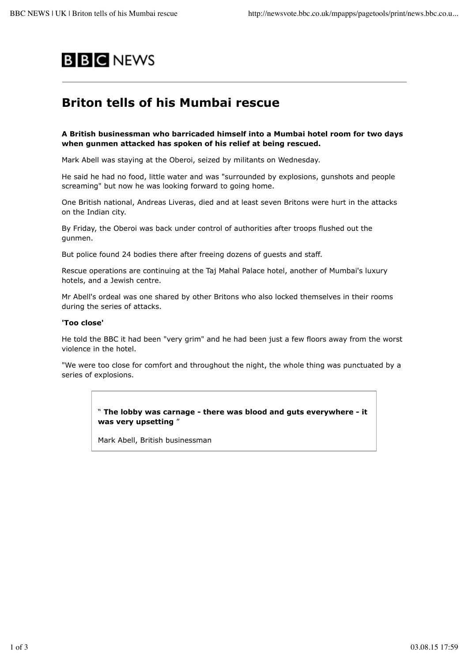

# **Briton tells of his Mumbai rescue**

### **A British businessman who barricaded himself into a Mumbai hotel room for two days when gunmen attacked has spoken of his relief at being rescued.**

Mark Abell was staying at the Oberoi, seized by militants on Wednesday.

He said he had no food, little water and was "surrounded by explosions, gunshots and people screaming" but now he was looking forward to going home.

One British national, Andreas Liveras, died and at least seven Britons were hurt in the attacks on the Indian city.

By Friday, the Oberoi was back under control of authorities after troops flushed out the gunmen.

But police found 24 bodies there after freeing dozens of guests and staff.

Rescue operations are continuing at the Taj Mahal Palace hotel, another of Mumbai's luxury hotels, and a Jewish centre.

Mr Abell's ordeal was one shared by other Britons who also locked themselves in their rooms during the series of attacks.

#### **'Too close'**

He told the BBC it had been "very grim" and he had been just a few floors away from the worst violence in the hotel.

"We were too close for comfort and throughout the night, the whole thing was punctuated by a series of explosions.

> " **The lobby was carnage - there was blood and guts everywhere - it was very upsetting** "

Mark Abell, British businessman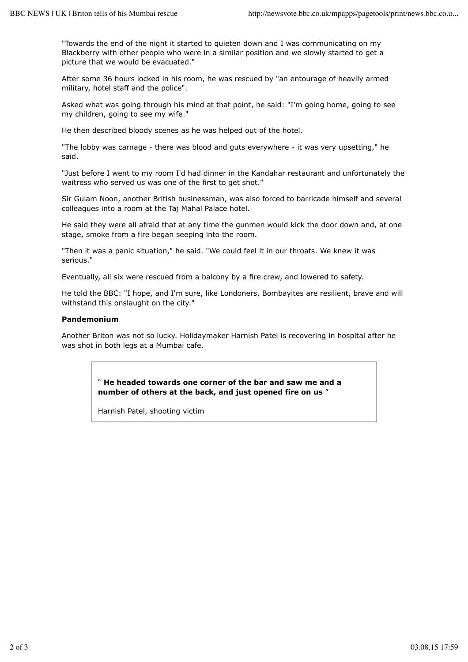"Towards the end of the night it started to quieten down and I was communicating on my Blackberry with other people who were in a similar position and we slowly started to get a picture that we would be evacuated."

After some 36 hours locked in his room, he was rescued by "an entourage of heavily armed military, hotel staff and the police".

Asked what was going through his mind at that point, he said: "I'm going home, going to see my children, going to see my wife."

He then described bloody scenes as he was helped out of the hotel.

"The lobby was carnage - there was blood and guts everywhere - it was very upsetting," he said.

"Just before I went to my room I'd had dinner in the Kandahar restaurant and unfortunately the waitress who served us was one of the first to get shot."

Sir Gulam Noon, another British businessman, was also forced to barricade himself and several colleagues into a room at the Taj Mahal Palace hotel.

He said they were all afraid that at any time the gunmen would kick the door down and, at one stage, smoke from a fire began seeping into the room.

"Then it was a panic situation," he said. "We could feel it in our throats. We knew it was serious."

Eventually, all six were rescued from a balcony by a fire crew, and lowered to safety.

He told the BBC: "I hope, and I'm sure, like Londoners, Bombayites are resilient, brave and will withstand this onslaught on the city."

#### **Pandemonium**

Another Briton was not so lucky. Holidaymaker Harnish Patel is recovering in hospital after he was shot in both legs at a Mumbai cafe.

> " **He headed towards one corner of the bar and saw me and a number of others at the back, and just opened fire on us** "

Harnish Patel, shooting victim